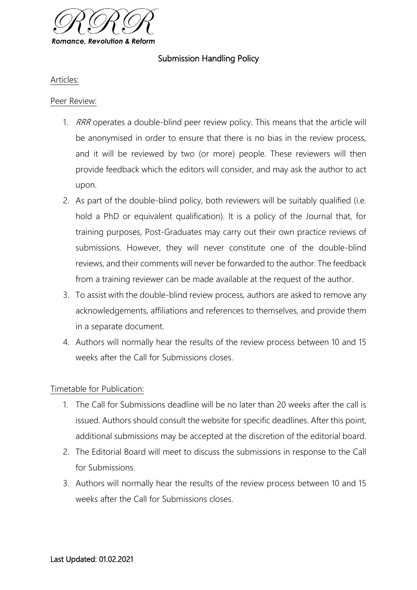

# Submission Handling Policy

## Articles:

## Peer Review:

- 1. RRR operates a double-blind peer review policy. This means that the article will be anonymised in order to ensure that there is no bias in the review process, and it will be reviewed by two (or more) people. These reviewers will then provide feedback which the editors will consider, and may ask the author to act upon.
- 2. As part of the double-blind policy, both reviewers will be suitably qualified (i.e. hold a PhD or equivalent qualification). It is a policy of the Journal that, for training purposes, Post-Graduates may carry out their own practice reviews of submissions. However, they will never constitute one of the double-blind reviews, and their comments will never be forwarded to the author. The feedback from a training reviewer can be made available at the request of the author.
- 3. To assist with the double-blind review process, authors are asked to remove any acknowledgements, affiliations and references to themselves, and provide them in a separate document.
- 4. Authors will normally hear the results of the review process between 10 and 15 weeks after the Call for Submissions closes.

## Timetable for Publication:

- 1. The Call for Submissions deadline will be no later than 20 weeks after the call is issued. Authors should consult the website for specific deadlines. After this point, additional submissions may be accepted at the discretion of the editorial board.
- 2. The Editorial Board will meet to discuss the submissions in response to the Call for Submissions.
- 3. Authors will normally hear the results of the review process between 10 and 15 weeks after the Call for Submissions closes.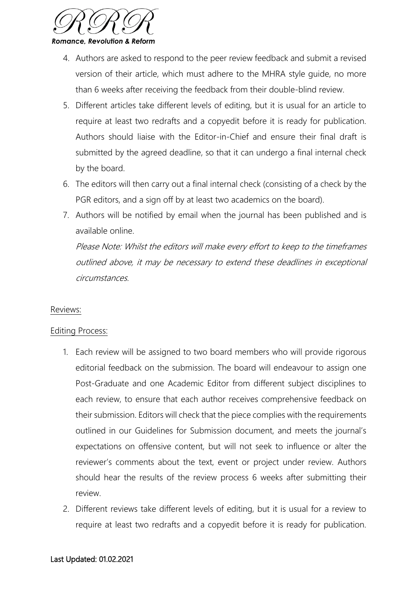

- 4. Authors are asked to respond to the peer review feedback and submit a revised version of their article, which must adhere to the MHRA style guide, no more than 6 weeks after receiving the feedback from their double-blind review.
- 5. Different articles take different levels of editing, but it is usual for an article to require at least two redrafts and a copyedit before it is ready for publication. Authors should liaise with the Editor-in-Chief and ensure their final draft is submitted by the agreed deadline, so that it can undergo a final internal check by the board.
- 6. The editors will then carry out a final internal check (consisting of a check by the PGR editors, and a sign off by at least two academics on the board).
- 7. Authors will be notified by email when the journal has been published and is available online.

Please Note: Whilst the editors will make every effort to keep to the timeframes outlined above, it may be necessary to extend these deadlines in exceptional circumstances.

## Reviews:

### Editing Process:

- 1. Each review will be assigned to two board members who will provide rigorous editorial feedback on the submission. The board will endeavour to assign one Post-Graduate and one Academic Editor from different subject disciplines to each review, to ensure that each author receives comprehensive feedback on their submission. Editors will check that the piece complies with the requirements outlined in our Guidelines for Submission document, and meets the journal's expectations on offensive content, but will not seek to influence or alter the reviewer's comments about the text, event or project under review. Authors should hear the results of the review process 6 weeks after submitting their review.
- 2. Different reviews take different levels of editing, but it is usual for a review to require at least two redrafts and a copyedit before it is ready for publication.